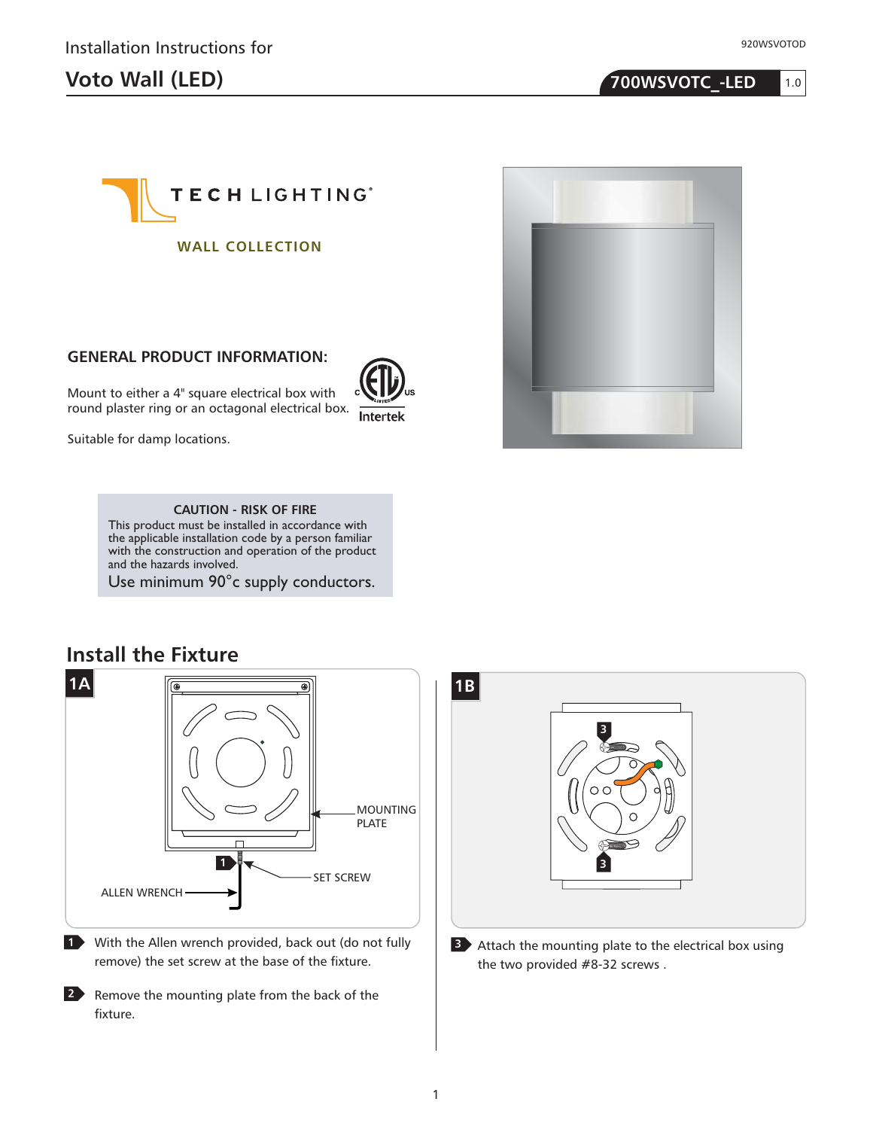# **Voto Wall (LED) 700WSVOTC\_-LED**





## **GP I : ENERAL RODUCT NFORMATION**

Mount to either a 4" square electrical box with round plaster ring or an octagonal electrical box.

Suitable for damp locations.

Intertek



**CAUTION - RISK OF FIRE** This product must be installed in accordance with

the applicable installation code by a person familiar with the construction and operation of the product and the hazards involved.

Use minimum 90°c supply conductors.



**<sup>1</sup>** With the Allen wrench provided, back out (do not fully remove) the set screw at the base of the fixture.

**2** Remove the mounting plate from the back of the fixture.



**<sup>3</sup>** Attach the mounting plate to the electrical box using the two provided #8-32 screws .